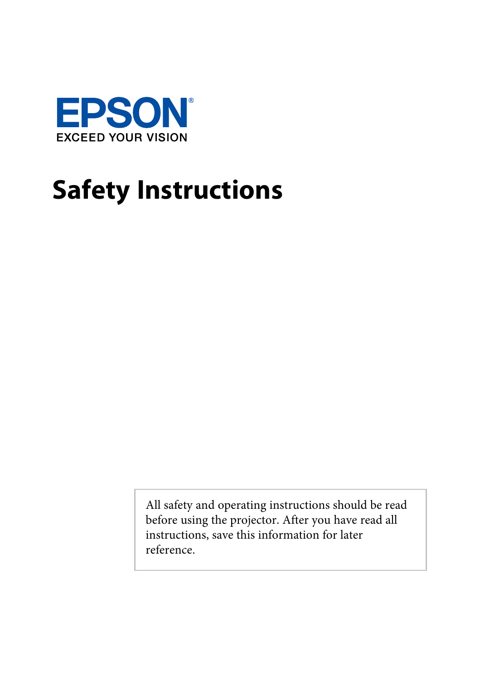

All safety and operating instructions should be read before using the projector. After you have read all instructions, save this information for later reference.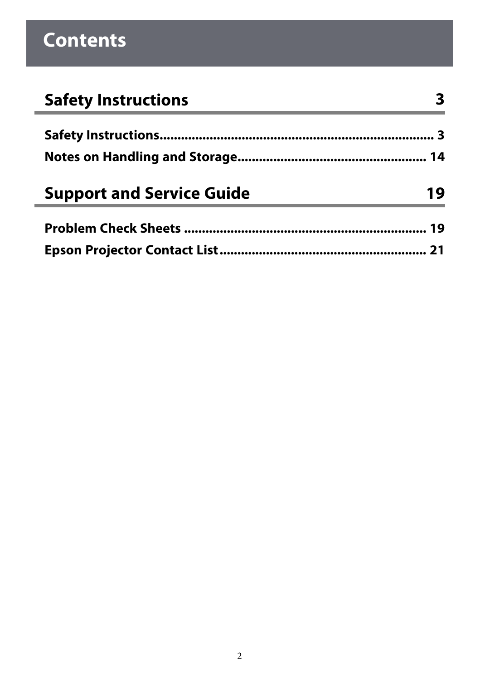| <b>Safety Instructions</b>       |    |
|----------------------------------|----|
|                                  |    |
|                                  |    |
|                                  |    |
| <b>Support and Service Guide</b> | 19 |
|                                  |    |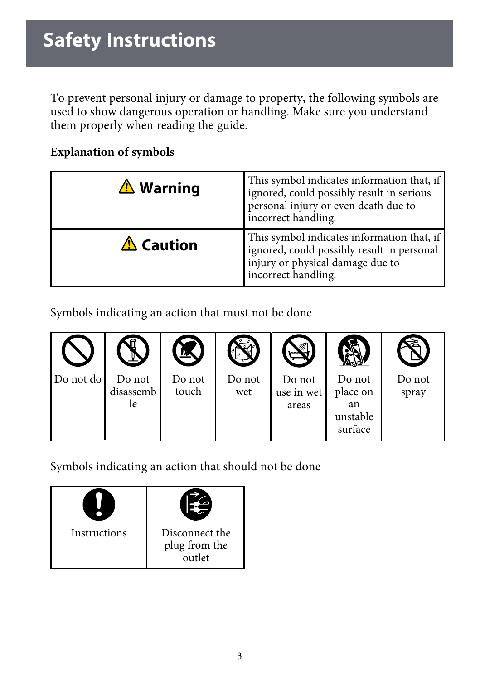<span id="page-2-1"></span><span id="page-2-0"></span>To prevent personal injury or damage to property, the following symbols are used to show dangerous operation or handling. Make sure you understand them properly when reading the guide.

#### **Explanation of symbols**

| <b>∆ Warning</b> | This symbol indicates information that, if<br>ignored, could possibly result in serious<br>personal injury or even death due to<br>incorrect handling. |
|------------------|--------------------------------------------------------------------------------------------------------------------------------------------------------|
| <b>△ Caution</b> | This symbol indicates information that, if<br>ignored, could possibly result in personal<br>injury or physical damage due to<br>incorrect handling.    |

Symbols indicating an action that must not be done



Symbols indicating an action that should not be done

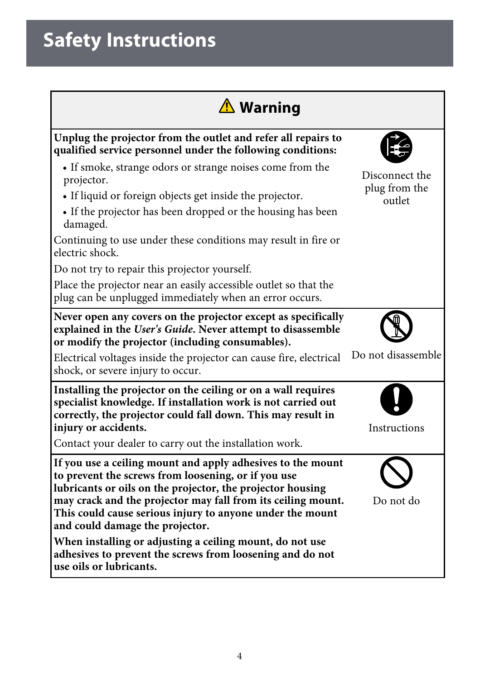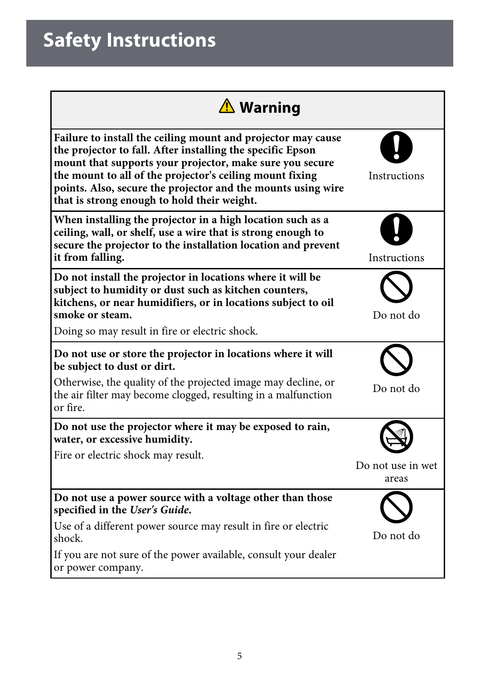| <b>△ Warning</b>                                                                                                                                                                                                                                                                                                                                                  |                            |
|-------------------------------------------------------------------------------------------------------------------------------------------------------------------------------------------------------------------------------------------------------------------------------------------------------------------------------------------------------------------|----------------------------|
| Failure to install the ceiling mount and projector may cause<br>the projector to fall. After installing the specific Epson<br>mount that supports your projector, make sure you secure<br>the mount to all of the projector's ceiling mount fixing<br>points. Also, secure the projector and the mounts using wire<br>that is strong enough to hold their weight. | Instructions               |
| When installing the projector in a high location such as a<br>ceiling, wall, or shelf, use a wire that is strong enough to<br>secure the projector to the installation location and prevent<br>it from falling.                                                                                                                                                   | Instructions               |
| Do not install the projector in locations where it will be<br>subject to humidity or dust such as kitchen counters,<br>kitchens, or near humidifiers, or in locations subject to oil<br>smoke or steam.<br>Doing so may result in fire or electric shock.                                                                                                         | Do not do                  |
| Do not use or store the projector in locations where it will<br>be subject to dust or dirt.<br>Otherwise, the quality of the projected image may decline, or<br>the air filter may become clogged, resulting in a malfunction<br>or fire.                                                                                                                         | Do not do                  |
| Do not use the projector where it may be exposed to rain,<br>water, or excessive humidity.<br>Fire or electric shock may result.                                                                                                                                                                                                                                  | Do not use in wet<br>areas |
| Do not use a power source with a voltage other than those<br>specified in the User's Guide.<br>Use of a different power source may result in fire or electric<br>shock.<br>If you are not sure of the power available, consult your dealer<br>or power company.                                                                                                   | Do not do                  |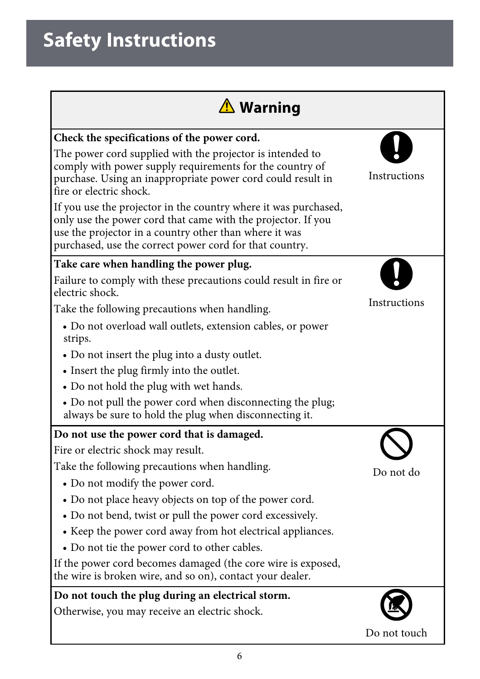| <b>△ Warning</b>                                                                                                                                                                                                                                     |              |
|------------------------------------------------------------------------------------------------------------------------------------------------------------------------------------------------------------------------------------------------------|--------------|
| Check the specifications of the power cord.                                                                                                                                                                                                          |              |
| The power cord supplied with the projector is intended to<br>comply with power supply requirements for the country of<br>purchase. Using an inappropriate power cord could result in<br>fire or electric shock.                                      | Instructions |
| If you use the projector in the country where it was purchased,<br>only use the power cord that came with the projector. If you<br>use the projector in a country other than where it was<br>purchased, use the correct power cord for that country. |              |
| Take care when handling the power plug.                                                                                                                                                                                                              |              |
| Failure to comply with these precautions could result in fire or<br>electric shock.                                                                                                                                                                  |              |
| Take the following precautions when handling.                                                                                                                                                                                                        | Instructions |
| · Do not overload wall outlets, extension cables, or power<br>strips.                                                                                                                                                                                |              |
| • Do not insert the plug into a dusty outlet.                                                                                                                                                                                                        |              |
| • Insert the plug firmly into the outlet.                                                                                                                                                                                                            |              |
| • Do not hold the plug with wet hands.                                                                                                                                                                                                               |              |
| • Do not pull the power cord when disconnecting the plug;<br>always be sure to hold the plug when disconnecting it.                                                                                                                                  |              |
| Do not use the power cord that is damaged.                                                                                                                                                                                                           |              |
| Fire or electric shock may result.                                                                                                                                                                                                                   |              |
| Take the following precautions when handling.                                                                                                                                                                                                        | Do not do    |
| • Do not modify the power cord.                                                                                                                                                                                                                      |              |
| • Do not place heavy objects on top of the power cord.                                                                                                                                                                                               |              |
| • Do not bend, twist or pull the power cord excessively.                                                                                                                                                                                             |              |
| • Keep the power cord away from hot electrical appliances.                                                                                                                                                                                           |              |
| • Do not tie the power cord to other cables.                                                                                                                                                                                                         |              |
| If the power cord becomes damaged (the core wire is exposed,<br>the wire is broken wire, and so on), contact your dealer.                                                                                                                            |              |
| Do not touch the plug during an electrical storm.                                                                                                                                                                                                    |              |
| Otherwise, you may receive an electric shock.                                                                                                                                                                                                        |              |
|                                                                                                                                                                                                                                                      | Do not touch |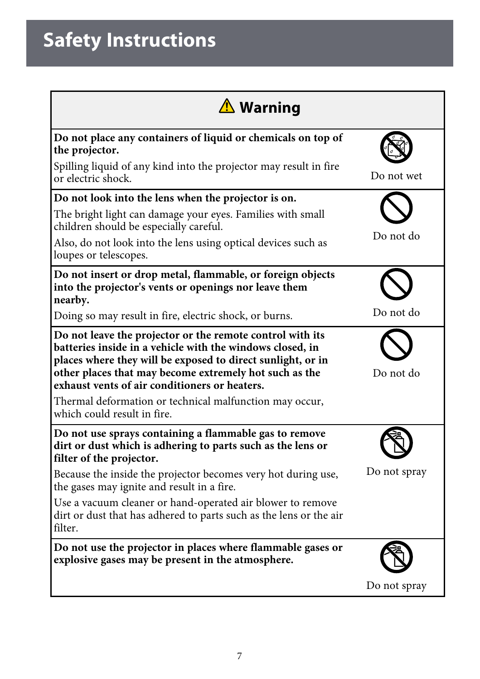| <b>△ Warning</b>                                                                                                                                                                                                                                                                                 |              |
|--------------------------------------------------------------------------------------------------------------------------------------------------------------------------------------------------------------------------------------------------------------------------------------------------|--------------|
| Do not place any containers of liquid or chemicals on top of<br>the projector.                                                                                                                                                                                                                   |              |
| Spilling liquid of any kind into the projector may result in fire<br>or electric shock.                                                                                                                                                                                                          | Do not wet   |
| Do not look into the lens when the projector is on.                                                                                                                                                                                                                                              |              |
| The bright light can damage your eyes. Families with small<br>children should be especially careful.                                                                                                                                                                                             |              |
| Also, do not look into the lens using optical devices such as<br>loupes or telescopes.                                                                                                                                                                                                           | Do not do    |
| Do not insert or drop metal, flammable, or foreign objects<br>into the projector's vents or openings nor leave them<br>nearby.                                                                                                                                                                   |              |
| Doing so may result in fire, electric shock, or burns.                                                                                                                                                                                                                                           | Do not do    |
| Do not leave the projector or the remote control with its<br>batteries inside in a vehicle with the windows closed, in<br>places where they will be exposed to direct sunlight, or in<br>other places that may become extremely hot such as the<br>exhaust vents of air conditioners or heaters. | Do not do    |
| Thermal deformation or technical malfunction may occur,<br>which could result in fire.                                                                                                                                                                                                           |              |
| Do not use sprays containing a flammable gas to remove<br>dirt or dust which is adhering to parts such as the lens or<br>filter of the projector.                                                                                                                                                |              |
| Because the inside the projector becomes very hot during use,<br>the gases may ignite and result in a fire.                                                                                                                                                                                      | Do not spray |
| Use a vacuum cleaner or hand-operated air blower to remove<br>dirt or dust that has adhered to parts such as the lens or the air<br>filter.                                                                                                                                                      |              |
| Do not use the projector in places where flammable gases or<br>explosive gases may be present in the atmosphere.                                                                                                                                                                                 |              |
|                                                                                                                                                                                                                                                                                                  | Do not spray |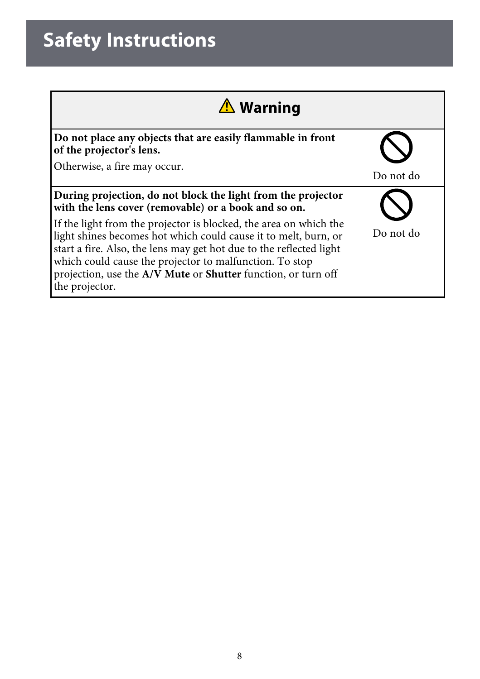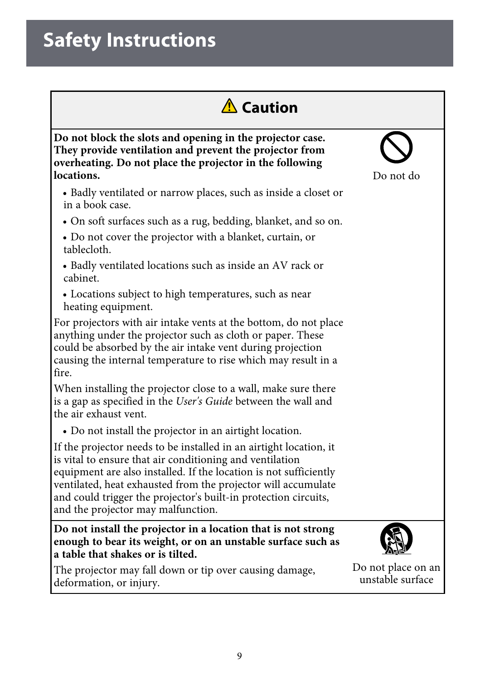

**Do not block the slots and opening in the projector case. They provide ventilation and prevent the projector from overheating. Do not place the projector in the following locations.**

- Badly ventilated or narrow places, such as inside a closet or in a book case.
- On soft surfaces such as a rug, bedding, blanket, and so on.
- Do not cover the projector with a blanket, curtain, or tablecloth.
- Badly ventilated locations such as inside an AV rack or cabinet.
- Locations subject to high temperatures, such as near heating equipment.

For projectors with air intake vents at the bottom, do not place anything under the projector such as cloth or paper. These could be absorbed by the air intake vent during projection causing the internal temperature to rise which may result in a fire.

When installing the projector close to a wall, make sure there is a gap as specified in the *User's Guide* between the wall and the air exhaust vent.

• Do not install the projector in an airtight location.

If the projector needs to be installed in an airtight location, it is vital to ensure that air conditioning and ventilation equipment are also installed. If the location is not sufficiently ventilated, heat exhausted from the projector will accumulate and could trigger the projector's built-in protection circuits, and the projector may malfunction.

**Do not install the projector in a location that is not strong enough to bear its weight, or on an unstable surface such as a table that shakes or is tilted.**

The projector may fall down or tip over causing damage, deformation, or injury.



Do not place on an unstable surface

Do not do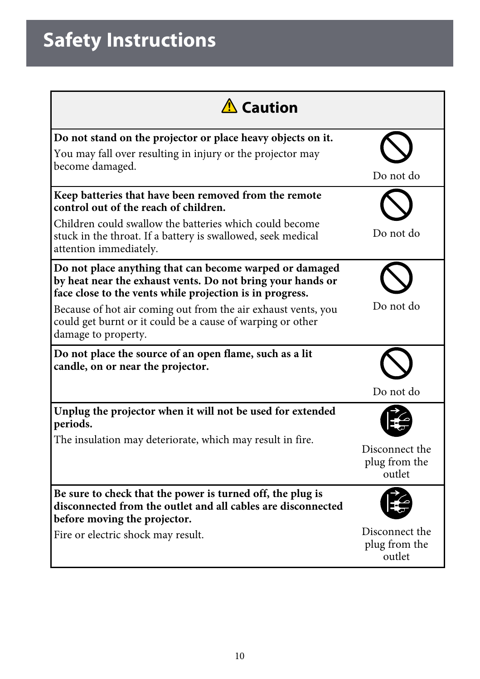| $\Lambda$ Caution                                                                                                                                                                                                                                                                                                                       |                                           |
|-----------------------------------------------------------------------------------------------------------------------------------------------------------------------------------------------------------------------------------------------------------------------------------------------------------------------------------------|-------------------------------------------|
| Do not stand on the projector or place heavy objects on it.<br>You may fall over resulting in injury or the projector may<br>become damaged.                                                                                                                                                                                            | Do not do                                 |
| Keep batteries that have been removed from the remote<br>control out of the reach of children.<br>Children could swallow the batteries which could become<br>stuck in the throat. If a battery is swallowed, seek medical<br>attention immediately.                                                                                     | Do not do                                 |
| Do not place anything that can become warped or damaged<br>by heat near the exhaust vents. Do not bring your hands or<br>face close to the vents while projection is in progress.<br>Because of hot air coming out from the air exhaust vents, you<br>could get burnt or it could be a cause of warping or other<br>damage to property. | Do not do                                 |
| Do not place the source of an open flame, such as a lit<br>candle, on or near the projector.                                                                                                                                                                                                                                            | Do not do                                 |
| Unplug the projector when it will not be used for extended<br>periods.<br>The insulation may deteriorate, which may result in fire.                                                                                                                                                                                                     | Disconnect the<br>plug from the<br>outlet |
| Be sure to check that the power is turned off, the plug is<br>disconnected from the outlet and all cables are disconnected<br>before moving the projector.<br>Fire or electric shock may result.                                                                                                                                        | Disconnect the<br>plug from the<br>outlet |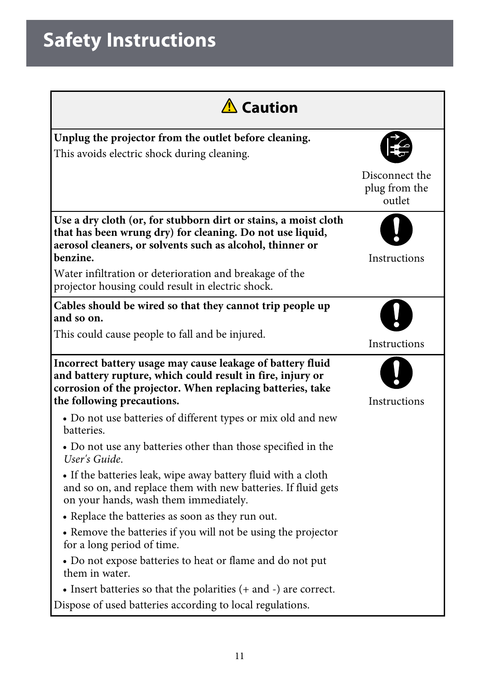| A Caution                                                                                                                                                                                                                                                                                                             |                                           |  |
|-----------------------------------------------------------------------------------------------------------------------------------------------------------------------------------------------------------------------------------------------------------------------------------------------------------------------|-------------------------------------------|--|
| Unplug the projector from the outlet before cleaning.<br>This avoids electric shock during cleaning.                                                                                                                                                                                                                  |                                           |  |
|                                                                                                                                                                                                                                                                                                                       | Disconnect the<br>plug from the<br>outlet |  |
| Use a dry cloth (or, for stubborn dirt or stains, a moist cloth<br>that has been wrung dry) for cleaning. Do not use liquid,<br>aerosol cleaners, or solvents such as alcohol, thinner or<br>benzine.<br>Water infiltration or deterioration and breakage of the<br>projector housing could result in electric shock. | <b>Instructions</b>                       |  |
| Cables should be wired so that they cannot trip people up<br>and so on.                                                                                                                                                                                                                                               |                                           |  |
| This could cause people to fall and be injured.                                                                                                                                                                                                                                                                       | Instructions                              |  |
| Incorrect battery usage may cause leakage of battery fluid<br>and battery rupture, which could result in fire, injury or<br>corrosion of the projector. When replacing batteries, take<br>the following precautions.                                                                                                  | Instructions                              |  |
| • Do not use batteries of different types or mix old and new<br>batteries.                                                                                                                                                                                                                                            |                                           |  |
| • Do not use any batteries other than those specified in the<br>User's Guide.                                                                                                                                                                                                                                         |                                           |  |
| • If the batteries leak, wipe away battery fluid with a cloth<br>and so on, and replace them with new batteries. If fluid gets<br>on your hands, wash them immediately.                                                                                                                                               |                                           |  |
| • Replace the batteries as soon as they run out.                                                                                                                                                                                                                                                                      |                                           |  |
| • Remove the batteries if you will not be using the projector<br>for a long period of time.                                                                                                                                                                                                                           |                                           |  |
| • Do not expose batteries to heat or flame and do not put<br>them in water.                                                                                                                                                                                                                                           |                                           |  |
| • Insert batteries so that the polarities $(+$ and $-)$ are correct.                                                                                                                                                                                                                                                  |                                           |  |
| Dispose of used batteries according to local regulations.                                                                                                                                                                                                                                                             |                                           |  |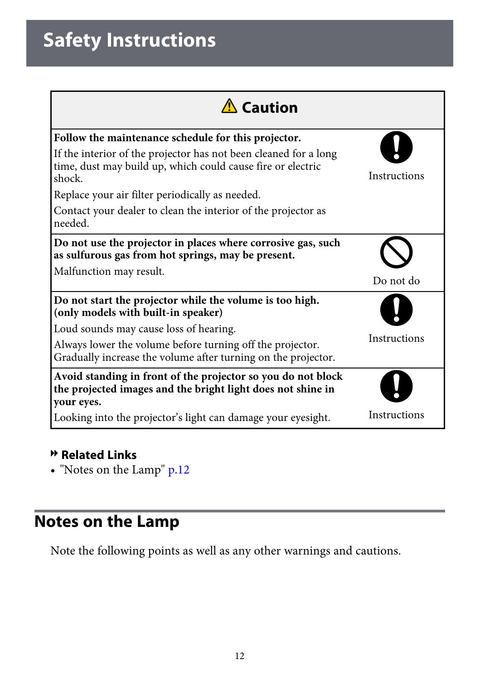| $\Lambda$ Caution                                                                                                                         |              |
|-------------------------------------------------------------------------------------------------------------------------------------------|--------------|
| Follow the maintenance schedule for this projector.                                                                                       |              |
| If the interior of the projector has not been cleaned for a long<br>time, dust may build up, which could cause fire or electric<br>shock. | Instructions |
| Replace your air filter periodically as needed.                                                                                           |              |
| Contact your dealer to clean the interior of the projector as<br>needed.                                                                  |              |
| Do not use the projector in places where corrosive gas, such<br>as sulfurous gas from hot springs, may be present.                        |              |
| Malfunction may result.                                                                                                                   | Do not do    |
| Do not start the projector while the volume is too high.<br>(only models with built-in speaker)                                           |              |
| Loud sounds may cause loss of hearing.                                                                                                    |              |
| Always lower the volume before turning off the projector.<br>Gradually increase the volume after turning on the projector.                | Instructions |
| Avoid standing in front of the projector so you do not block<br>the projected images and the bright light does not shine in<br>your eyes. |              |
| Looking into the projector's light can damage your eyesight.                                                                              | Instructions |

#### **P** Related Links

• ["Notes on the Lamp"](#page-11-0) p.12

## <span id="page-11-0"></span>**Notes on the Lamp**

Note the following points as well as any other warnings and cautions.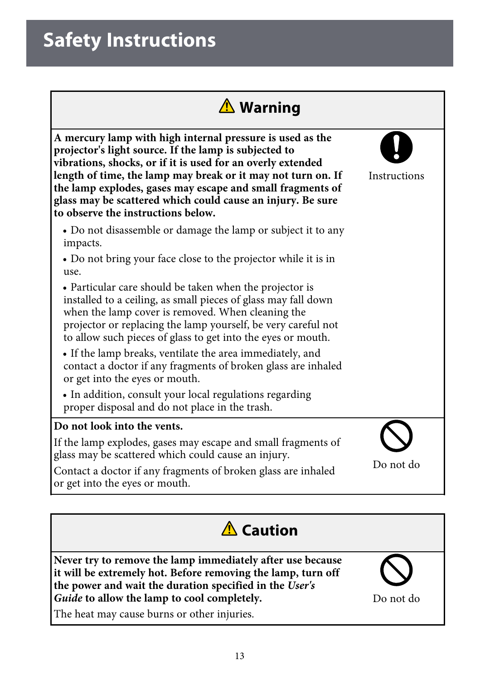

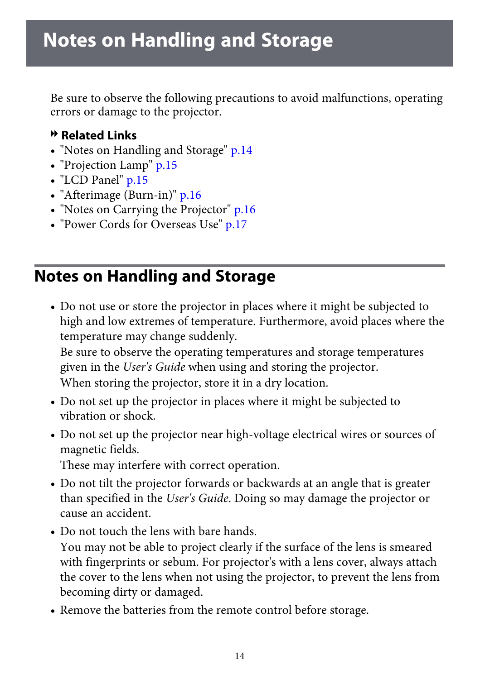<span id="page-13-0"></span>Be sure to observe the following precautions to avoid malfunctions, operating errors or damage to the projector.

#### g **Related Links**

- "Notes on [Handling](#page-13-1) and Storage" p.14
- • ["Projection](#page-14-0) Lamp" p.15
- "LCD [Panel"](#page-14-1) p.15
- • ["Afterimage](#page-15-0) (Burn-in)" p.16
- "Notes on Carrying the [Projector"](#page-15-1) p.16
- "Power Cords for [Overseas](#page-16-0) Use" p.17

#### <span id="page-13-1"></span>**Notes on Handling and Storage**

• Do not use or store the projector in places where it might be subjected to high and low extremes of temperature. Furthermore, avoid places where the temperature may change suddenly.

Be sure to observe the operating temperatures and storage temperatures given in the *User's Guide* when using and storing the projector. When storing the projector, store it in a dry location.

- Do not set up the projector in places where it might be subjected to vibration or shock.
- Do not set up the projector near high-voltage electrical wires or sources of magnetic fields.

These may interfere with correct operation.

- Do not tilt the projector forwards or backwards at an angle that is greater than specified in the *User's Guide*. Doing so may damage the projector or cause an accident.
- Do not touch the lens with bare hands.
	- You may not be able to project clearly if the surface of the lens is smeared with fingerprints or sebum. For projector's with a lens cover, always attach the cover to the lens when not using the projector, to prevent the lens from becoming dirty or damaged.
- Remove the batteries from the remote control before storage.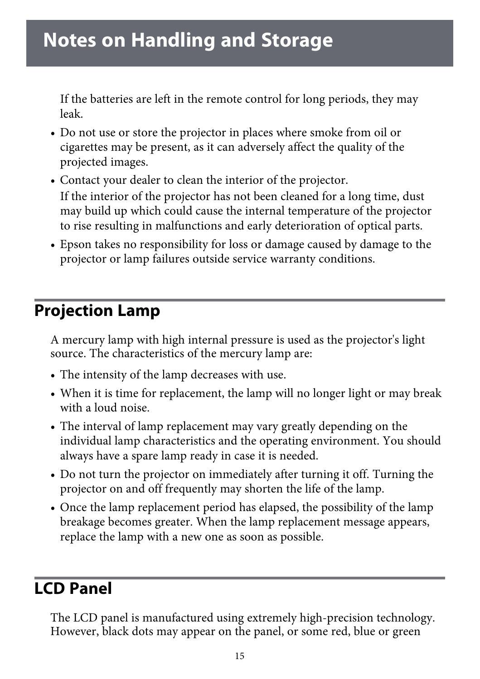If the batteries are left in the remote control for long periods, they may leak.

- Do not use or store the projector in places where smoke from oil or cigarettes may be present, as it can adversely affect the quality of the projected images.
- Contact your dealer to clean the interior of the projector. If the interior of the projector has not been cleaned for a long time, dust may build up which could cause the internal temperature of the projector to rise resulting in malfunctions and early deterioration of optical parts.
- Epson takes no responsibility for loss or damage caused by damage to the projector or lamp failures outside service warranty conditions.

### <span id="page-14-0"></span>**Projection Lamp**

A mercury lamp with high internal pressure is used as the projector's light source. The characteristics of the mercury lamp are:

- The intensity of the lamp decreases with use.
- When it is time for replacement, the lamp will no longer light or may break with a loud noise.
- The interval of lamp replacement may vary greatly depending on the individual lamp characteristics and the operating environment. You should always have a spare lamp ready in case it is needed.
- Do not turn the projector on immediately after turning it off. Turning the projector on and off frequently may shorten the life of the lamp.
- Once the lamp replacement period has elapsed, the possibility of the lamp breakage becomes greater. When the lamp replacement message appears, replace the lamp with a new one as soon as possible.

### <span id="page-14-1"></span>**LCD Panel**

The LCD panel is manufactured using extremely high-precision technology. However, black dots may appear on the panel, or some red, blue or green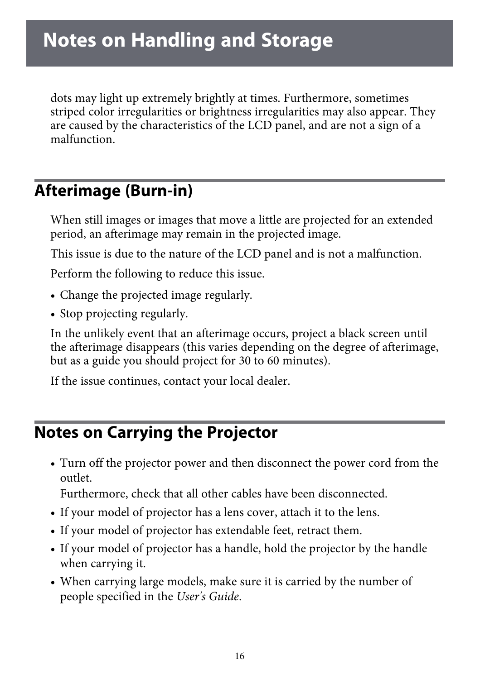dots may light up extremely brightly at times. Furthermore, sometimes striped color irregularities or brightness irregularities may also appear. They are caused by the characteristics of the LCD panel, and are not a sign of a malfunction.

### <span id="page-15-0"></span>**Afterimage (Burn-in)**

When still images or images that move a little are projected for an extended period, an afterimage may remain in the projected image.

This issue is due to the nature of the LCD panel and is not a malfunction.

Perform the following to reduce this issue.

- Change the projected image regularly.
- Stop projecting regularly.

In the unlikely event that an afterimage occurs, project a black screen until the afterimage disappears (this varies depending on the degree of afterimage, but as a guide you should project for 30 to 60 minutes).

If the issue continues, contact your local dealer.

#### <span id="page-15-1"></span>**Notes on Carrying the Projector**

• Turn off the projector power and then disconnect the power cord from the outlet.

Furthermore, check that all other cables have been disconnected.

- If your model of projector has a lens cover, attach it to the lens.
- If your model of projector has extendable feet, retract them.
- If your model of projector has a handle, hold the projector by the handle when carrying it.
- When carrying large models, make sure it is carried by the number of people specified in the *User's Guide*.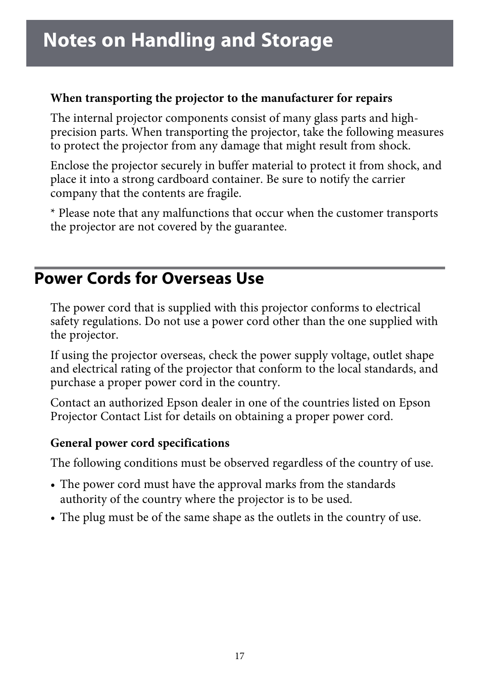#### **When transporting the projector to the manufacturer for repairs**

The internal projector components consist of many glass parts and highprecision parts. When transporting the projector, take the following measures to protect the projector from any damage that might result from shock.

Enclose the projector securely in buffer material to protect it from shock, and place it into a strong cardboard container. Be sure to notify the carrier company that the contents are fragile.

\* Please note that any malfunctions that occur when the customer transports the projector are not covered by the guarantee.

### <span id="page-16-0"></span>**Power Cords for Overseas Use**

The power cord that is supplied with this projector conforms to electrical safety regulations. Do not use a power cord other than the one supplied with the projector.

If using the projector overseas, check the power supply voltage, outlet shape and electrical rating of the projector that conform to the local standards, and purchase a proper power cord in the country.

Contact an authorized Epson dealer in one of the countries listed on Epson Projector Contact List for details on obtaining a proper power cord.

#### **General power cord specifications**

The following conditions must be observed regardless of the country of use.

- The power cord must have the approval marks from the standards authority of the country where the projector is to be used.
- The plug must be of the same shape as the outlets in the country of use.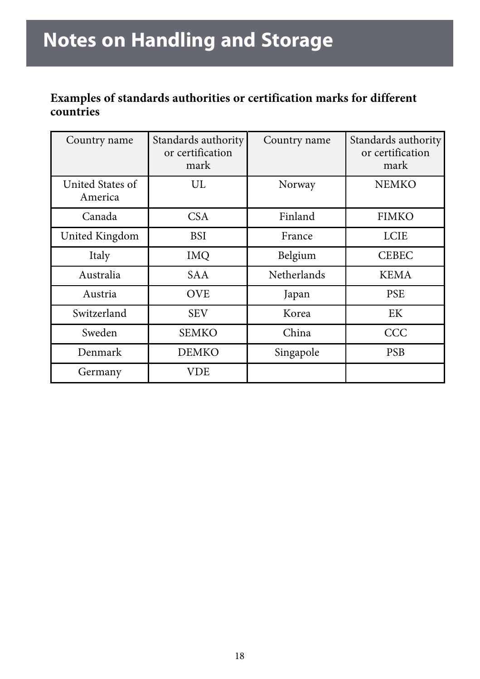#### **Examples of standards authorities or certification marks for different countries**

| Country name                | Standards authority<br>or certification<br>mark | Country name | Standards authority<br>or certification<br>mark |
|-----------------------------|-------------------------------------------------|--------------|-------------------------------------------------|
| United States of<br>America | UL                                              | Norway       | <b>NEMKO</b>                                    |
| Canada                      | CSA                                             | Finland      | <b>FIMKO</b>                                    |
| United Kingdom              | BSI                                             | France       | <b>LCIE</b>                                     |
| Italy                       | <b>IMQ</b>                                      | Belgium      | <b>CEBEC</b>                                    |
| Australia                   | SA A                                            | Netherlands  | <b>KEMA</b>                                     |
| Austria                     | <b>OVE</b>                                      | Japan        | <b>PSE</b>                                      |
| Switzerland                 | <b>SEV</b>                                      | Korea        | EK                                              |
| Sweden                      | SEMKO                                           | China        | CCC                                             |
| Denmark                     | <b>DEMKO</b>                                    | Singapole    | <b>PSB</b>                                      |
| Germany                     | VDE                                             |              |                                                 |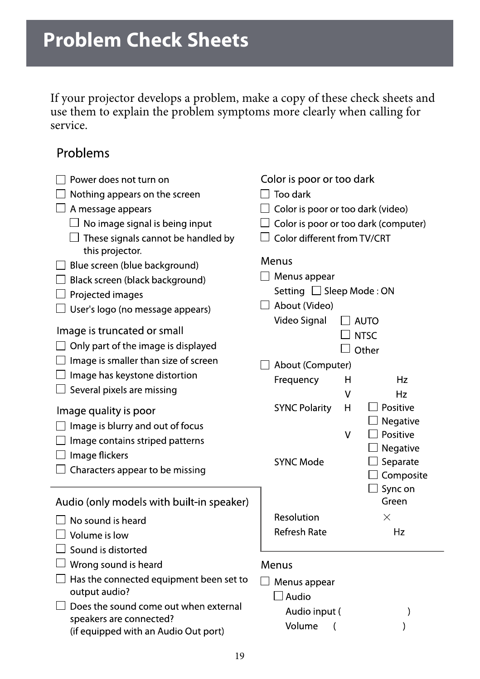<span id="page-18-1"></span><span id="page-18-0"></span>If your projector develops a problem, make a copy of these check sheets and use them to explain the problem symptoms more clearly when calling for service.

#### Problems

| Power does not turn on                                                                                   | Color is poor or too dark                         |
|----------------------------------------------------------------------------------------------------------|---------------------------------------------------|
| Nothing appears on the screen                                                                            | Too dark                                          |
| A message appears                                                                                        | Color is poor or too dark (video)                 |
| $\Box$ No image signal is being input                                                                    | Color is poor or too dark (computer)              |
| $\Box$ These signals cannot be handled by<br>this projector.                                             | Color different from TV/CRT                       |
| Blue screen (blue background)<br>Black screen (black background)                                         | Menus<br>$\Box$ Menus appear                      |
| $\Box$ Projected images                                                                                  | Setting □ Sleep Mode: ON                          |
| $\Box$ User's logo (no message appears)                                                                  | About (Video)                                     |
| Image is truncated or small<br>Only part of the image is displayed                                       | Video Signal<br>AUTO<br><b>NTSC</b>               |
| Image is smaller than size of screen                                                                     | Other                                             |
| $\Box$ Image has keystone distortion                                                                     | About (Computer)<br>Hz                            |
| $\Box$ Several pixels are missing                                                                        | Frequency<br>н<br>٧<br>Hz                         |
| Image quality is poor                                                                                    | Positive<br><b>SYNC Polarity</b><br>Н<br>Negative |
| Image is blurry and out of focus<br>Image contains striped patterns                                      | Positive<br>٧<br>Negative                         |
| Image flickers<br>$\Box$ Characters appear to be missing                                                 | <b>SYNC Mode</b><br>Separate<br>Composite         |
| Audio (only models with built-in speaker)                                                                | $\Box$ Sync on<br>Green                           |
| No sound is heard                                                                                        | Resolution<br>×                                   |
| Volume is low                                                                                            | <b>Refresh Rate</b><br>Hz                         |
| Sound is distorted                                                                                       |                                                   |
| $\Box$ Wrong sound is heard                                                                              | Menus                                             |
| $\Box$ Has the connected equipment been set to<br>output audio?                                          | Menus appear<br>Audio                             |
| Does the sound come out when external<br>speakers are connected?<br>(if equipped with an Audio Out port) | Audio input (<br>$\mathcal{C}$<br>Volume<br>(     |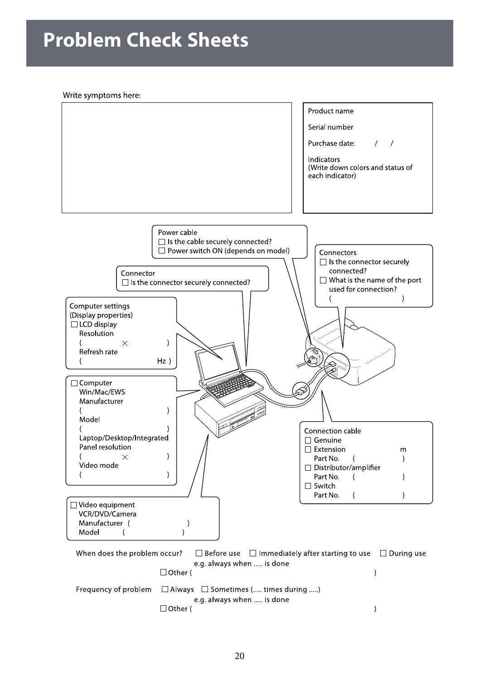## **Problem Check Sheets**

Write symptoms here:

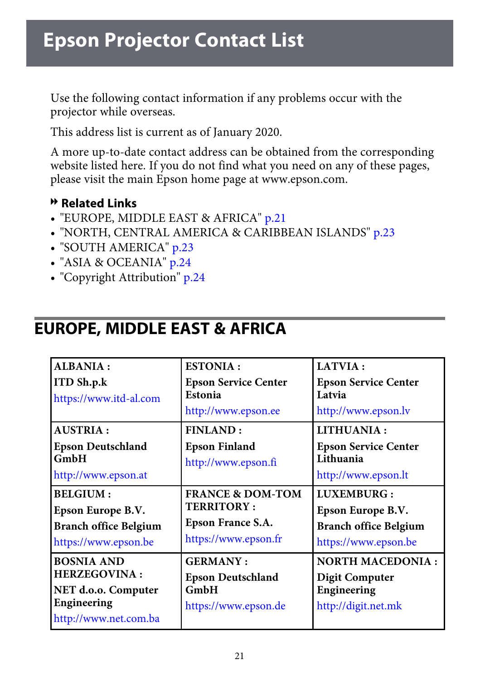<span id="page-20-0"></span>Use the following contact information if any problems occur with the projector while overseas.

This address list is current as of January 2020.

A more up-to-date contact address can be obtained from the corresponding website listed here. If you do not find what you need on any of these pages, please visit the main Epson home page at www.epson.com.

#### g **Related Links**

- • ["EUROPE, MIDDLE EAST & AFRICA"](#page-20-1) p.21
- • ["NORTH, CENTRAL AMERICA & CARIBBEAN ISLANDS"](#page-22-0) p.23
- • ["SOUTH AMERICA"](#page-22-1) p.23
- • ["ASIA & OCEANIA"](#page-23-0) p.24
- • ["Copyright Attribution"](#page-23-1) p.24

### <span id="page-20-1"></span>**EUROPE, MIDDLE EAST & AFRICA**

| ALBANIA:<br><b>ITD Sh.p.k</b><br>https://www.itd-al.com                                                 | <b>ESTONIA:</b><br><b>Epson Service Center</b><br>Estonia<br>http://www.epson.ee              | LATVIA :<br><b>Epson Service Center</b><br>Latvia<br>http://www.epson.lv                |
|---------------------------------------------------------------------------------------------------------|-----------------------------------------------------------------------------------------------|-----------------------------------------------------------------------------------------|
| <b>AUSTRIA:</b><br><b>Epson Deutschland</b><br><b>GmbH</b><br>http://www.epson.at                       | <b>FINLAND:</b><br><b>Epson Finland</b><br>http://www.epson.fi                                | LITHUANIA:<br><b>Epson Service Center</b><br>Lithuania<br>http://www.epson.lt           |
| <b>BELGIUM:</b><br>Epson Europe B.V.<br><b>Branch office Belgium</b><br>https://www.epson.be            | <b>FRANCE &amp; DOM-TOM</b><br><b>TERRITORY:</b><br>Epson France S.A.<br>https://www.epson.fr | LUXEMBURG:<br>Epson Europe B.V.<br><b>Branch office Belgium</b><br>https://www.epson.be |
| <b>BOSNIA AND</b><br><b>HERZEGOVINA:</b><br>NET d.o.o. Computer<br>Engineering<br>http://www.net.com.ba | <b>GERMANY:</b><br><b>Epson Deutschland</b><br><b>GmbH</b><br>https://www.epson.de            | <b>NORTH MACEDONIA:</b><br><b>Digit Computer</b><br>Engineering<br>http://digit.net.mk  |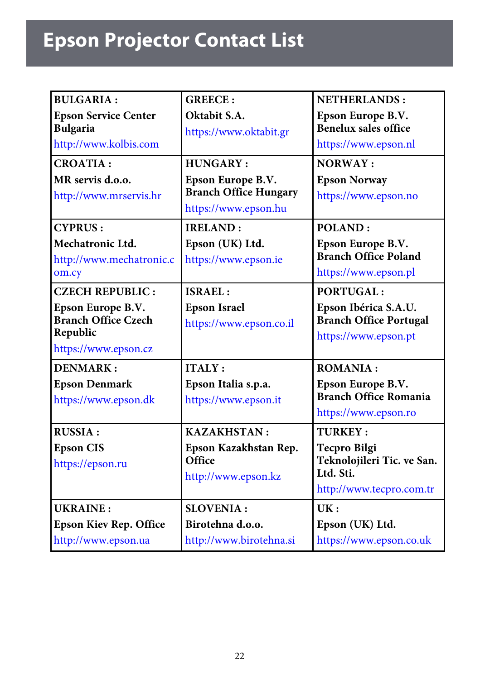# **Epson Projector Contact List**

| <b>BULGARIA:</b><br><b>Epson Service Center</b><br><b>Bulgaria</b><br>http://www.kolbis.com<br><b>CROATIA:</b><br>MR servis d.o.o.<br>http://www.mrservis.hr | <b>GREECE:</b><br>Oktabit S.A.<br>https://www.oktabit.gr<br>HUNGARY:<br>Epson Europe B.V.<br><b>Branch Office Hungary</b><br>https://www.epson.hu | <b>NETHERLANDS:</b><br>Epson Europe B.V.<br><b>Benelux sales office</b><br>https://www.epson.nl<br>NORWAY:<br><b>Epson Norway</b><br>https://www.epson.no |
|--------------------------------------------------------------------------------------------------------------------------------------------------------------|---------------------------------------------------------------------------------------------------------------------------------------------------|-----------------------------------------------------------------------------------------------------------------------------------------------------------|
| <b>CYPRUS:</b><br>Mechatronic Ltd.<br>http://www.mechatronic.c<br>om.cy<br><b>CZECH REPUBLIC:</b>                                                            | <b>IRELAND:</b><br>Epson (UK) Ltd.<br>https://www.epson.ie<br>ISRAEL:                                                                             | POLAND:<br>Epson Europe B.V.<br><b>Branch Office Poland</b><br>https://www.epson.pl<br>PORTUGAL:                                                          |
| Epson Europe B.V.<br><b>Branch Office Czech</b><br>Republic<br>https://www.epson.cz                                                                          | <b>Epson Israel</b><br>https://www.epson.co.il                                                                                                    | Epson Ibérica S.A.U.<br><b>Branch Office Portugal</b><br>https://www.epson.pt                                                                             |
| <b>DENMARK:</b><br><b>Epson Denmark</b><br>https://www.epson.dk                                                                                              | <b>ITALY:</b><br>Epson Italia s.p.a.<br>https://www.epson.it                                                                                      | <b>ROMANIA:</b><br>Epson Europe B.V.<br><b>Branch Office Romania</b><br>https://www.epson.ro                                                              |
| <b>RUSSIA:</b><br><b>Epson CIS</b><br>https://epson.ru                                                                                                       | <b>KAZAKHSTAN:</b><br>Epson Kazakhstan Rep.<br>Office<br>http://www.epson.kz                                                                      | <b>TURKEY:</b><br><b>Tecpro Bilgi</b><br>Teknolojileri Tic. ve San.<br>Ltd. Sti.<br>http://www.tecpro.com.tr                                              |
| <b>UKRAINE:</b><br><b>Epson Kiev Rep. Office</b><br>http://www.epson.ua                                                                                      | <b>SLOVENIA:</b><br>Birotehna d.o.o.<br>http://www.birotehna.si                                                                                   | UK:<br>Epson (UK) Ltd.<br>https://www.epson.co.uk                                                                                                         |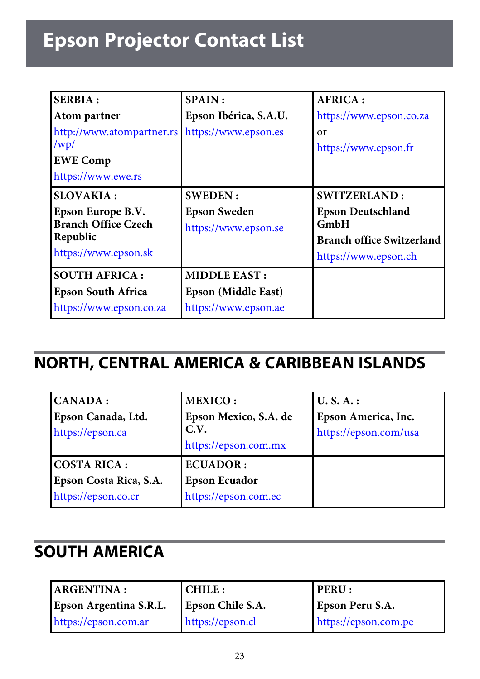# **Epson Projector Contact List**

| <b>SERBIA:</b><br>Atom partner<br>http://www.atompartner.rs<br>/wp/<br><b>EWE Comp</b><br>https://www.ewe.rs | <b>SPAIN</b> :<br>Epson Ibérica, S.A.U.<br>https://www.epson.es    | <b>AFRICA:</b><br>https://www.epson.co.za<br>or<br>https://www.epson.fr                                                    |
|--------------------------------------------------------------------------------------------------------------|--------------------------------------------------------------------|----------------------------------------------------------------------------------------------------------------------------|
| <b>SLOVAKIA:</b><br>Epson Europe B.V.<br><b>Branch Office Czech</b><br>Republic<br>https://www.epson.sk      | <b>SWEDEN:</b><br><b>Epson Sweden</b><br>https://www.epson.se      | <b>SWITZERLAND:</b><br><b>Epson Deutschland</b><br><b>GmbH</b><br><b>Branch office Switzerland</b><br>https://www.epson.ch |
| <b>SOUTH AFRICA:</b><br><b>Epson South Africa</b><br>https://www.epson.co.za                                 | <b>MIDDLE EAST:</b><br>Epson (Middle East)<br>https://www.epson.ae |                                                                                                                            |

## <span id="page-22-0"></span>**NORTH, CENTRAL AMERICA & CARIBBEAN ISLANDS**

| CANADA:                | <b>MEXICO:</b>        | U.S.A.:               |
|------------------------|-----------------------|-----------------------|
| Epson Canada, Ltd.     | Epson Mexico, S.A. de | Epson America, Inc.   |
| https://epson.ca       | C.V.                  | https://epson.com/usa |
|                        | https://epson.com.mx  |                       |
| <b>COSTA RICA:</b>     | <b>ECUADOR:</b>       |                       |
| Epson Costa Rica, S.A. | <b>Epson Ecuador</b>  |                       |
| https://epson.co.cr    | https://epson.com.ec  |                       |

## <span id="page-22-1"></span>**SOUTH AMERICA**

| <b>ARGENTINA:</b>      | CHILE :          | <b>PERU:</b>         |
|------------------------|------------------|----------------------|
| Epson Argentina S.R.L. | Epson Chile S.A. | Epson Peru S.A.      |
| https://epson.com.ar   | https://epson.cl | https://epson.com.pe |